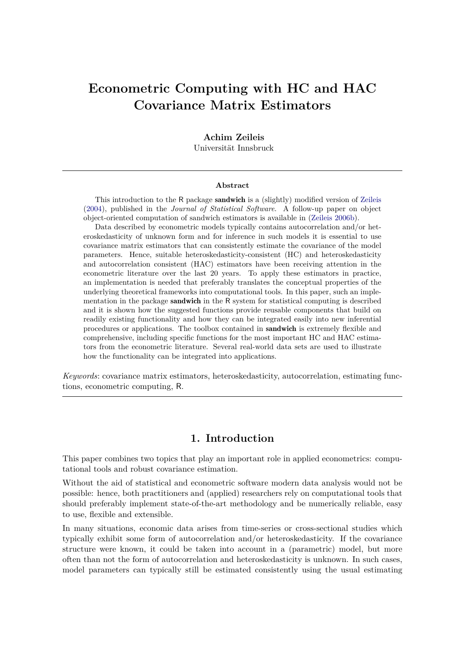# **Econometric Computing with HC and HAC Covariance Matrix Estimators**

#### **Achim Zeileis**

Universität Innsbruck

#### **Abstract**

This introduction to the R package sandwich is a (slightly) modified version of [Zeileis](#page-16-0) [\(2004\)](#page-16-0), published in the *Journal of Statistical Software*. A follow-up paper on object object-oriented computation of sandwich estimators is available in [\(Zeileis](#page-16-1) [2006b\)](#page-16-1).

Data described by econometric models typically contains autocorrelation and/or heteroskedasticity of unknown form and for inference in such models it is essential to use covariance matrix estimators that can consistently estimate the covariance of the model parameters. Hence, suitable heteroskedasticity-consistent (HC) and heteroskedasticity and autocorrelation consistent (HAC) estimators have been receiving attention in the econometric literature over the last 20 years. To apply these estimators in practice, an implementation is needed that preferably translates the conceptual properties of the underlying theoretical frameworks into computational tools. In this paper, such an implementation in the package sandwich in the R system for statistical computing is described and it is shown how the suggested functions provide reusable components that build on readily existing functionality and how they can be integrated easily into new inferential procedures or applications. The toolbox contained in sandwich is extremely flexible and comprehensive, including specific functions for the most important HC and HAC estimators from the econometric literature. Several real-world data sets are used to illustrate how the functionality can be integrated into applications.

*Keywords*: covariance matrix estimators, heteroskedasticity, autocorrelation, estimating functions, econometric computing, R.

# **1. Introduction**

This paper combines two topics that play an important role in applied econometrics: computational tools and robust covariance estimation.

Without the aid of statistical and econometric software modern data analysis would not be possible: hence, both practitioners and (applied) researchers rely on computational tools that should preferably implement state-of-the-art methodology and be numerically reliable, easy to use, flexible and extensible.

In many situations, economic data arises from time-series or cross-sectional studies which typically exhibit some form of autocorrelation and/or heteroskedasticity. If the covariance structure were known, it could be taken into account in a (parametric) model, but more often than not the form of autocorrelation and heteroskedasticity is unknown. In such cases, model parameters can typically still be estimated consistently using the usual estimating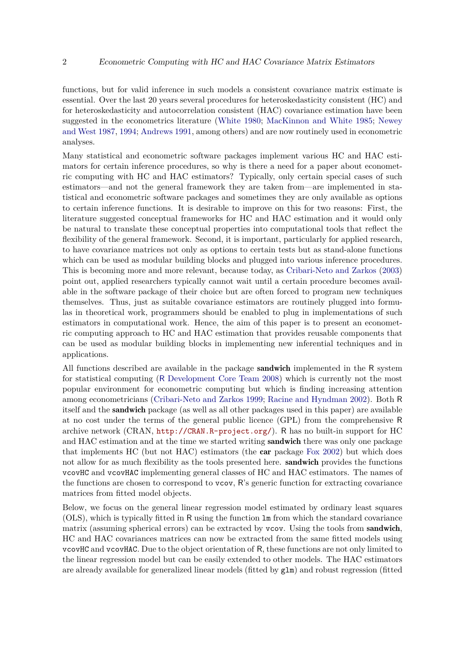functions, but for valid inference in such models a consistent covariance matrix estimate is essential. Over the last 20 years several procedures for heteroskedasticity consistent (HC) and for heteroskedasticity and autocorrelation consistent (HAC) covariance estimation have been suggested in the econometrics literature [\(White](#page-15-0) [1980;](#page-15-0) [MacKinnon and White](#page-15-1) [1985;](#page-15-1) [Newey](#page-15-2) [and West](#page-15-2) [1987,](#page-15-2) [1994;](#page-15-3) [Andrews](#page-14-0) [1991,](#page-14-0) among others) and are now routinely used in econometric analyses.

Many statistical and econometric software packages implement various HC and HAC estimators for certain inference procedures, so why is there a need for a paper about econometric computing with HC and HAC estimators? Typically, only certain special cases of such estimators—and not the general framework they are taken from—are implemented in statistical and econometric software packages and sometimes they are only available as options to certain inference functions. It is desirable to improve on this for two reasons: First, the literature suggested conceptual frameworks for HC and HAC estimation and it would only be natural to translate these conceptual properties into computational tools that reflect the flexibility of the general framework. Second, it is important, particularly for applied research, to have covariance matrices not only as options to certain tests but as stand-alone functions which can be used as modular building blocks and plugged into various inference procedures. This is becoming more and more relevant, because today, as [Cribari-Neto and Zarkos](#page-15-4) [\(2003\)](#page-15-4) point out, applied researchers typically cannot wait until a certain procedure becomes available in the software package of their choice but are often forced to program new techniques themselves. Thus, just as suitable covariance estimators are routinely plugged into formulas in theoretical work, programmers should be enabled to plug in implementations of such estimators in computational work. Hence, the aim of this paper is to present an econometric computing approach to HC and HAC estimation that provides reusable components that can be used as modular building blocks in implementing new inferential techniques and in applications.

All functions described are available in the package **sandwich** implemented in the R system for statistical computing (R [Development Core Team](#page-15-5) [2008\)](#page-15-5) which is currently not the most popular environment for econometric computing but which is finding increasing attention among econometricians [\(Cribari-Neto and Zarkos](#page-15-6) [1999;](#page-15-6) [Racine and Hyndman](#page-15-7) [2002\)](#page-15-7). Both R itself and the sandwich package (as well as all other packages used in this paper) are available at no cost under the terms of the general public licence (GPL) from the comprehensive R archive network (CRAN, <http://CRAN.R-project.org/>). R has no built-in support for HC and HAC estimation and at the time we started writing **sandwich** there was only one package that implements HC (but not HAC) estimators (the car package [Fox](#page-15-8) [2002\)](#page-15-8) but which does not allow for as much flexibility as the tools presented here. **sandwich** provides the functions vcovHC and vcovHAC implementing general classes of HC and HAC estimators. The names of the functions are chosen to correspond to vcov, R's generic function for extracting covariance matrices from fitted model objects.

Below, we focus on the general linear regression model estimated by ordinary least squares (OLS), which is typically fitted in R using the function lm from which the standard covariance matrix (assuming spherical errors) can be extracted by vcov. Using the tools from **sandwich**, HC and HAC covariances matrices can now be extracted from the same fitted models using vcovHC and vcovHAC. Due to the object orientation of R, these functions are not only limited to the linear regression model but can be easily extended to other models. The HAC estimators are already available for generalized linear models (fitted by glm) and robust regression (fitted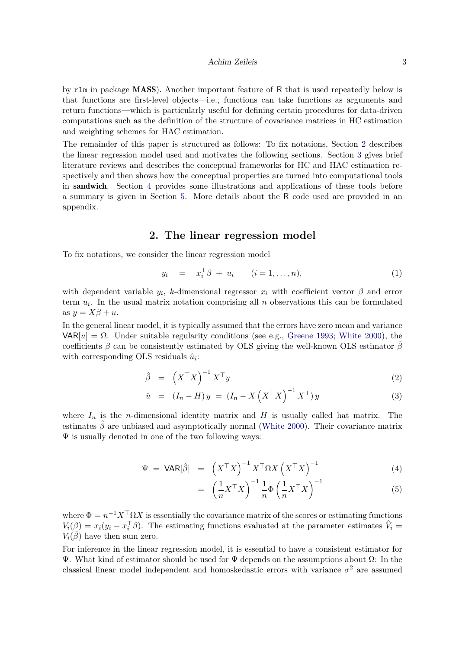#### Achim Zeileis 3

by rlm in package MASS). Another important feature of R that is used repeatedly below is that functions are first-level objects—i.e., functions can take functions as arguments and return functions—which is particularly useful for defining certain procedures for data-driven computations such as the definition of the structure of covariance matrices in HC estimation and weighting schemes for HAC estimation.

The remainder of this paper is structured as follows: To fix notations, Section [2](#page-2-0) describes the linear regression model used and motivates the following sections. Section [3](#page-3-0) gives brief literature reviews and describes the conceptual frameworks for HC and HAC estimation respectively and then shows how the conceptual properties are turned into computational tools in sandwich. Section [4](#page-7-0) provides some illustrations and applications of these tools before a summary is given in Section [5.](#page-13-0) More details about the R code used are provided in an appendix.

# **2. The linear regression model**

<span id="page-2-0"></span>To fix notations, we consider the linear regression model

$$
y_i = x_i^{\top} \beta + u_i \qquad (i = 1, \dots, n), \qquad (1)
$$

with dependent variable  $y_i$ , *k*-dimensional regressor  $x_i$  with coefficient vector  $\beta$  and error term  $u_i$ . In the usual matrix notation comprising all  $n$  observations this can be formulated as  $y = X\beta + u$ .

In the general linear model, it is typically assumed that the errors have zero mean and variance  $\text{VAR}[u] = \Omega$ . Under suitable regularity conditions (see e.g., [Greene](#page-15-9) [1993;](#page-15-9) [White](#page-15-10) [2000\)](#page-15-10), the coefficients  $\beta$  can be consistently estimated by OLS giving the well-known OLS estimator  $\hat{\beta}$ with corresponding OLS residuals  $\hat{u}_i$ :

$$
\hat{\beta} = \left(X^{\top}X\right)^{-1}X^{\top}y \tag{2}
$$

$$
\hat{u} = (I_n - H)y = (I_n - X(X^{\top}X)^{-1}X^{\top})y \tag{3}
$$

where  $I_n$  is the *n*-dimensional identity matrix and  $H$  is usually called hat matrix. The estimates  $\beta$  are unbiased and asymptotically normal [\(White](#page-15-10) [2000\)](#page-15-10). Their covariance matrix  $\Psi$  is usually denoted in one of the two following ways:

<span id="page-2-1"></span>
$$
\Psi = \text{VAR}[\hat{\beta}] = \left( X^\top X \right)^{-1} X^\top \Omega X \left( X^\top X \right)^{-1} \tag{4}
$$

$$
= \left(\frac{1}{n}X^{\top}X\right)^{-1}\frac{1}{n}\Phi\left(\frac{1}{n}X^{\top}X\right)^{-1} \tag{5}
$$

where  $\Phi = n^{-1}X^{\top} \Omega X$  is essentially the covariance matrix of the scores or estimating functions  $V_i(\beta) = x_i(y_i - x_i^{\top}\beta)$ . The estimating functions evaluated at the parameter estimates  $\hat{V}_i =$  $V_i(\hat{\beta})$  have then sum zero.

For inference in the linear regression model, it is essential to have a consistent estimator for Ψ. What kind of estimator should be used for Ψ depends on the assumptions about Ω: In the classical linear model independent and homoskedastic errors with variance  $\sigma^2$  are assumed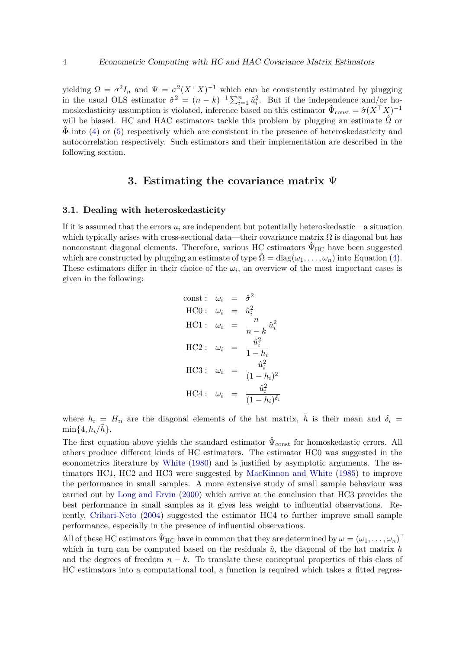yielding  $\Omega = \sigma^2 I_n$  and  $\Psi = \sigma^2 (X^\top X)^{-1}$  which can be consistently estimated by plugging in the usual OLS estimator  $\hat{\sigma}^2 = (n-k)^{-1} \sum_{i=1}^n \hat{u}_i^2$ . But if the independence and/or homoskedasticity assumption is violated, inference based on this estimator  $\hat{\Psi}_{\text{const}} = \hat{\sigma}(X^{\top}X)^{-1}$ will be biased. HC and HAC estimators tackle this problem by plugging an estimate  $\Omega$  or  $\Phi$  into [\(4\)](#page-2-1) or [\(5\)](#page-2-1) respectively which are consistent in the presence of heteroskedasticity and autocorrelation respectively. Such estimators and their implementation are described in the following section.

# **3. Estimating the covariance matrix** Ψ

#### <span id="page-3-0"></span>**3.1. Dealing with heteroskedasticity**

If it is assumed that the errors  $u_i$  are independent but potentially heteroskedastic—a situation which typically arises with cross-sectional data—their covariance matrix  $\Omega$  is diagonal but has nonconstant diagonal elements. Therefore, various HC estimators  $\hat{\Psi}_{HC}$  have been suggested which are constructed by plugging an estimate of type  $\hat{\Omega} = \text{diag}(\omega_1, \dots, \omega_n)$  into Equation [\(4\)](#page-2-1). These estimators differ in their choice of the  $\omega_i$ , an overview of the most important cases is given in the following:

const: 
$$
\omega_i = \hat{\sigma}^2
$$
  
\nHC0:  $\omega_i = \hat{u}_i^2$   
\nHC1:  $\omega_i = \frac{n}{n-k} \hat{u}_i^2$   
\nHC2:  $\omega_i = \frac{\hat{u}_i^2}{1-h_i}$   
\nHC3:  $\omega_i = \frac{\hat{u}_i^2}{(1-h_i)^2}$   
\nHC4:  $\omega_i = \frac{\hat{u}_i^2}{(1-h_i)^{\delta_i}}$ 

where  $h_i = H_{ii}$  are the diagonal elements of the hat matrix,  $\bar{h}$  is their mean and  $\delta_i =$  $\min\{4, h_i/\bar{h}\}.$ 

The first equation above yields the standard estimator  $\hat{\Psi}_{\text{const}}$  for homoskedastic errors. All others produce different kinds of HC estimators. The estimator HC0 was suggested in the econometrics literature by [White](#page-15-0) [\(1980\)](#page-15-0) and is justified by asymptotic arguments. The estimators HC1, HC2 and HC3 were suggested by [MacKinnon and White](#page-15-1) [\(1985\)](#page-15-1) to improve the performance in small samples. A more extensive study of small sample behaviour was carried out by [Long and Ervin](#page-15-11) [\(2000\)](#page-15-11) which arrive at the conclusion that HC3 provides the best performance in small samples as it gives less weight to influential observations. Recently, [Cribari-Neto](#page-15-12) [\(2004\)](#page-15-12) suggested the estimator HC4 to further improve small sample performance, especially in the presence of influential observations.

All of these HC estimators  $\hat{\Psi}_{HC}$  have in common that they are determined by  $\omega = (\omega_1, \dots, \omega_n)^\top$ which in turn can be computed based on the residuals  $\hat{u}$ , the diagonal of the hat matrix *h* and the degrees of freedom  $n - k$ . To translate these conceptual properties of this class of HC estimators into a computational tool, a function is required which takes a fitted regres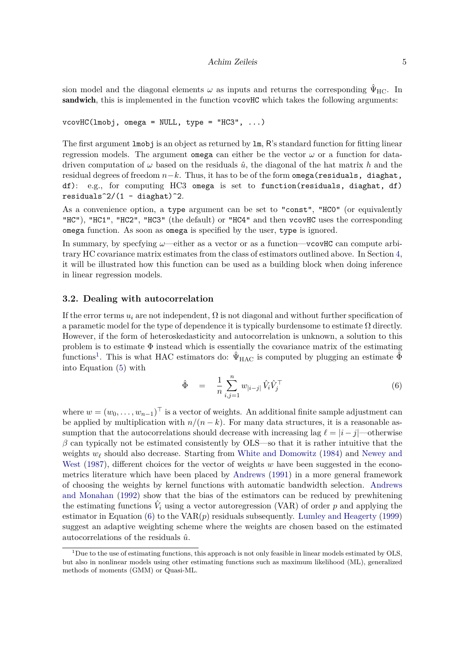sion model and the diagonal elements  $\omega$  as inputs and returns the corresponding  $\hat{\Psi}_{HC}$ . In sandwich, this is implemented in the function vcovHC which takes the following arguments:

vcovHC(lmobj, omega = NULL, type = "HC3", ...)

The first argument lmobj is an object as returned by lm, R's standard function for fitting linear regression models. The argument omega can either be the vector  $\omega$  or a function for datadriven computation of  $\omega$  based on the residuals  $\hat{u}$ , the diagonal of the hat matrix h and the residual degrees of freedom *n*−*k*. Thus, it has to be of the form omega(residuals, diaghat, df): e.g., for computing HC3 omega is set to function(residuals, diaghat, df) residuals<sup> $2/(1 -$ diaghat)<sup>2</sup>.</sup>

As a convenience option, a type argument can be set to "const", "HC0" (or equivalently "HC"), "HC1", "HC2", "HC3" (the default) or "HC4" and then vcovHC uses the corresponding omega function. As soon as omega is specified by the user, type is ignored.

In summary, by specfying *ω*—either as a vector or as a function—vcovHC can compute arbitrary HC covariance matrix estimates from the class of estimators outlined above. In Section [4,](#page-7-0) it will be illustrated how this function can be used as a building block when doing inference in linear regression models.

#### **3.2. Dealing with autocorrelation**

If the error terms  $u_i$  are not independent,  $\Omega$  is not diagonal and without further specification of a parametic model for the type of dependence it is typically burdensome to estimate  $\Omega$  directly. However, if the form of heteroskedasticity and autocorrelation is unknown, a solution to this problem is to estimate  $\Phi$  instead which is essentially the covariance matrix of the estimating functions<sup>[1](#page-4-0)</sup>. This is what HAC estimators do:  $\hat{\Psi}_{HAC}$  is computed by plugging an estimate  $\hat{\Phi}$ into Equation [\(5\)](#page-2-1) with

<span id="page-4-1"></span>
$$
\hat{\Phi} = \frac{1}{n} \sum_{i,j=1}^{n} w_{|i-j|} \hat{V}_i \hat{V}_j^{\top}
$$
\n(6)

where  $w = (w_0, \ldots, w_{n-1})^\top$  is a vector of weights. An additional finite sample adjustment can be applied by multiplication with  $n/(n - k)$ . For many data structures, it is a reasonable assumption that the autocorrelations should decrease with increasing lag  $\ell = |i - j|$ —otherwise  $\beta$  can typically not be estimated consistently by OLS—so that it is rather intuitive that the weights *w<sup>ℓ</sup>* should also decrease. Starting from [White and Domowitz](#page-16-2) [\(1984\)](#page-16-2) and [Newey and](#page-15-2) [West](#page-15-2) [\(1987\)](#page-15-2), different choices for the vector of weights *w* have been suggested in the econometrics literature which have been placed by [Andrews](#page-14-0) [\(1991\)](#page-14-0) in a more general framework of choosing the weights by kernel functions with automatic bandwidth selection. [Andrews](#page-14-1) [and Monahan](#page-14-1) [\(1992\)](#page-14-1) show that the bias of the estimators can be reduced by prewhitening the estimating functions  $\hat{V}_i$  using a vector autoregression (VAR) of order  $p$  and applying the estimator in Equation [\(6\)](#page-4-1) to the VAR(*p*) residuals subsequently. [Lumley and Heagerty](#page-15-13) [\(1999\)](#page-15-13) suggest an adaptive weighting scheme where the weights are chosen based on the estimated autocorrelations of the residuals  $\hat{u}$ .

<span id="page-4-0"></span> $1$ Due to the use of estimating functions, this approach is not only feasible in linear models estimated by OLS. but also in nonlinear models using other estimating functions such as maximum likelihood (ML), generalized methods of moments (GMM) or Quasi-ML.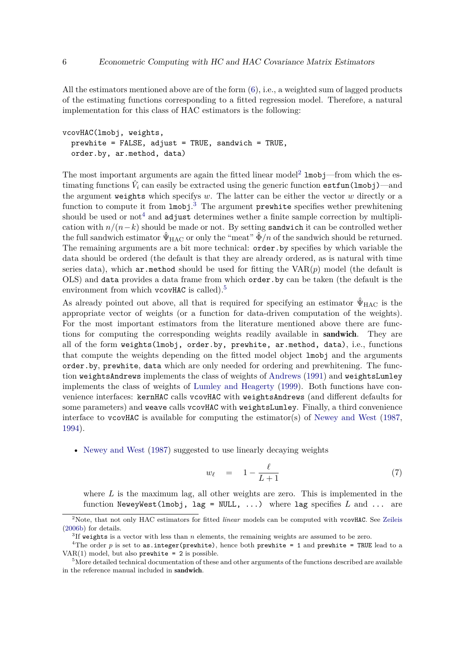All the estimators mentioned above are of the form  $(6)$ , i.e., a weighted sum of lagged products of the estimating functions corresponding to a fitted regression model. Therefore, a natural implementation for this class of HAC estimators is the following:

```
vcovHAC(lmobj, weights,
 prewhite = FALSE, adjust = TRUE, sandwich = TRUE,
 order.by, ar.method, data)
```
The most important arguments are again the fitted linear model<sup>[2](#page-5-0)</sup>  $lmobj$ —from which the estimating functions  $\hat{V}_i$  can easily be extracted using the generic function  $\texttt{estfun}(\texttt{lmobj})\text{---}$ and the argument weights which specifys *w*. The latter can be either the vector *w* directly or a function to compute it from  $lmobj$ .<sup>[3](#page-5-1)</sup> The argument prewhite specifies wether prewhitening should be used or not<sup>[4](#page-5-2)</sup> and adjust determines wether a finite sample correction by multiplication with  $n/(n-k)$  should be made or not. By setting sandwich it can be controlled wether the full sandwich estimator  $\hat{\Psi}_{HAC}$  or only the "meat"  $\hat{\Phi}/n$  of the sandwich should be returned. The remaining arguments are a bit more technical: order.by specifies by which variable the data should be ordered (the default is that they are already ordered, as is natural with time series data), which  $ar$  method should be used for fitting the  $VAR(p)$  model (the default is OLS) and data provides a data frame from which order.by can be taken (the default is the environment from which vcovHAC is called).<sup>[5](#page-5-3)</sup>

As already pointed out above, all that is required for specifying an estimator  $\hat{\Psi}_{\text{HAC}}$  is the appropriate vector of weights (or a function for data-driven computation of the weights). For the most important estimators from the literature mentioned above there are functions for computing the corresponding weights readily available in sandwich. They are all of the form weights(lmobj, order.by, prewhite, ar.method, data), i.e., functions that compute the weights depending on the fitted model object lmobj and the arguments order.by, prewhite, data which are only needed for ordering and prewhitening. The function weightsAndrews implements the class of weights of [Andrews](#page-14-0) [\(1991\)](#page-14-0) and weightsLumley implements the class of weights of [Lumley and Heagerty](#page-15-13) [\(1999\)](#page-15-13). Both functions have convenience interfaces: kernHAC calls vcovHAC with weightsAndrews (and different defaults for some parameters) and weave calls vcovHAC with weightsLumley. Finally, a third convenience interface to vcovHAC is available for computing the estimator(s) of [Newey and West](#page-15-2) [\(1987,](#page-15-2) [1994\)](#page-15-3).

• [Newey and West](#page-15-2) [\(1987\)](#page-15-2) suggested to use linearly decaying weights

<span id="page-5-4"></span>
$$
w_{\ell} = 1 - \frac{\ell}{L+1} \tag{7}
$$

where L is the maximum lag, all other weights are zero. This is implemented in the function NeweyWest(lmobj, lag = NULL, ...) where lag specifies *L* and ... are

<span id="page-5-0"></span><sup>2</sup>Note, that not only HAC estimators for fitted *linear* models can be computed with vcovHAC. See [Zeileis](#page-16-1) [\(2006b\)](#page-16-1) for details.

<span id="page-5-2"></span><span id="page-5-1"></span> ${}^{3}$ If weights is a vector with less than  $n$  elements, the remaining weights are assumed to be zero.

<sup>&</sup>lt;sup>4</sup>The order  $p$  is set to as.integer(prewhite), hence both prewhite = 1 and prewhite = TRUE lead to a  $VAR(1)$  model, but also prewhite = 2 is possible.

<span id="page-5-3"></span><sup>&</sup>lt;sup>5</sup>More detailed technical documentation of these and other arguments of the functions described are available in the reference manual included in sandwich.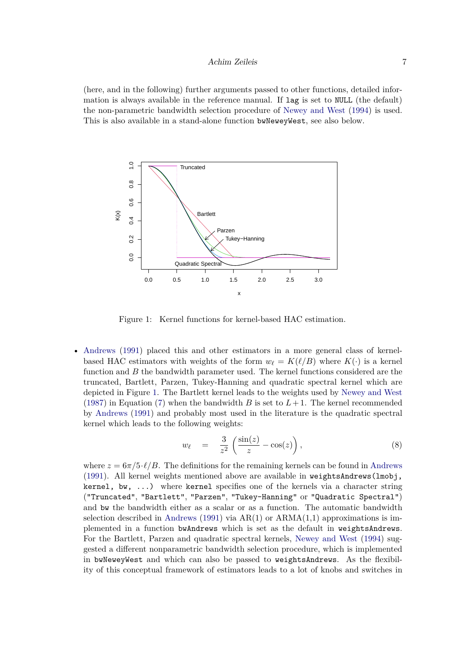(here, and in the following) further arguments passed to other functions, detailed information is always available in the reference manual. If lag is set to NULL (the default) the non-parametric bandwidth selection procedure of [Newey and West](#page-15-3) [\(1994\)](#page-15-3) is used. This is also available in a stand-alone function bwNeweyWest, see also below.



<span id="page-6-0"></span>Figure 1: Kernel functions for kernel-based HAC estimation.

• [Andrews](#page-14-0) [\(1991\)](#page-14-0) placed this and other estimators in a more general class of kernelbased HAC estimators with weights of the form  $w_{\ell} = K(\ell/B)$  where  $K(\cdot)$  is a kernel function and *B* the bandwidth parameter used. The kernel functions considered are the truncated, Bartlett, Parzen, Tukey-Hanning and quadratic spectral kernel which are depicted in Figure [1.](#page-6-0) The Bartlett kernel leads to the weights used by [Newey and West](#page-15-2) [\(1987\)](#page-15-2) in Equation [\(7\)](#page-5-4) when the bandwidth *B* is set to  $L+1$ . The kernel recommended by [Andrews](#page-14-0) [\(1991\)](#page-14-0) and probably most used in the literature is the quadratic spectral kernel which leads to the following weights:

$$
w_{\ell} = \frac{3}{z^2} \left( \frac{\sin(z)}{z} - \cos(z) \right), \tag{8}
$$

where  $z = 6\pi/5 \cdot \ell/B$ . The definitions for the remaining kernels can be found in [Andrews](#page-14-0) [\(1991\)](#page-14-0). All kernel weights mentioned above are available in weightsAndrews(lmobj, kernel, bw, ...) where kernel specifies one of the kernels via a character string ("Truncated", "Bartlett", "Parzen", "Tukey-Hanning" or "Quadratic Spectral") and bw the bandwidth either as a scalar or as a function. The automatic bandwidth selection described in [Andrews](#page-14-0) [\(1991\)](#page-14-0) via  $AR(1)$  or  $ARMA(1,1)$  approximations is implemented in a function bwAndrews which is set as the default in weightsAndrews. For the Bartlett, Parzen and quadratic spectral kernels, [Newey and West](#page-15-3) [\(1994\)](#page-15-3) suggested a different nonparametric bandwidth selection procedure, which is implemented in bwNeweyWest and which can also be passed to weightsAndrews. As the flexibility of this conceptual framework of estimators leads to a lot of knobs and switches in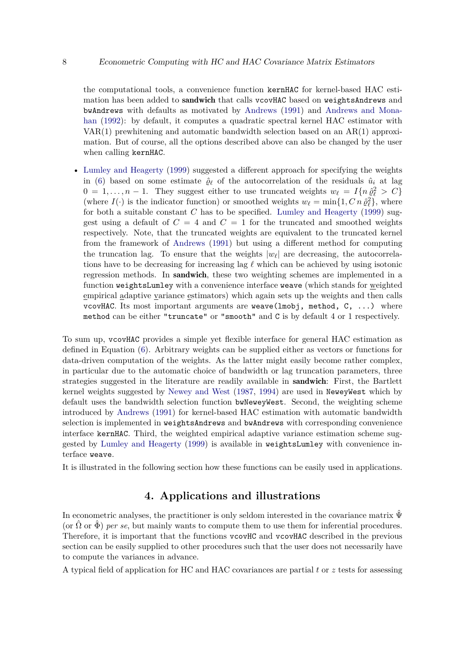the computational tools, a convenience function kernHAC for kernel-based HAC estimation has been added to sandwich that calls vcovHAC based on weightsAndrews and bwAndrews with defaults as motivated by [Andrews](#page-14-0) [\(1991\)](#page-14-0) and [Andrews and Mona](#page-14-1)[han](#page-14-1) [\(1992\)](#page-14-1): by default, it computes a quadratic spectral kernel HAC estimator with  $VAR(1)$  prewhitening and automatic bandwidth selection based on an  $AR(1)$  approximation. But of course, all the options described above can also be changed by the user when calling kernHAC.

• [Lumley and Heagerty](#page-15-13) [\(1999\)](#page-15-13) suggested a different approach for specifying the weights in [\(6\)](#page-4-1) based on some estimate  $\hat{\rho}_{\ell}$  of the autocorrelation of the residuals  $\hat{u}_i$  at lag  $0 = 1, \ldots, n - 1$ . They suggest either to use truncated weights  $w_{\ell} = I\{n\hat{\varrho}_{\ell}^2 > C\}$ (where  $I(\cdot)$  is the indicator function) or smoothed weights  $w_{\ell} = \min\{1, C \, n \, \hat{\varrho}_{\ell}^2\}$ , where for both a suitable constant *C* has to be specified. [Lumley and Heagerty](#page-15-13) [\(1999\)](#page-15-13) suggest using a default of  $C = 4$  and  $C = 1$  for the truncated and smoothed weights respectively. Note, that the truncated weights are equivalent to the truncated kernel from the framework of [Andrews](#page-14-0) [\(1991\)](#page-14-0) but using a different method for computing the truncation lag. To ensure that the weights  $|w_{\ell}|$  are decreasing, the autocorrelations have to be decreasing for increasing lag *ℓ* which can be achieved by using isotonic regression methods. In sandwich, these two weighting schemes are implemented in a function weightsLumley with a convenience interface weave (which stands for weighted empirical adaptive variance estimators) which again sets up the weights and then calls vcovHAC. Its most important arguments are weave( $lmobj$ , method,  $C$ , ...) where method can be either "truncate" or "smooth" and C is by default 4 or 1 respectively.

To sum up, vcovHAC provides a simple yet flexible interface for general HAC estimation as defined in Equation [\(6\)](#page-4-1). Arbitrary weights can be supplied either as vectors or functions for data-driven computation of the weights. As the latter might easily become rather complex, in particular due to the automatic choice of bandwidth or lag truncation parameters, three strategies suggested in the literature are readily available in **sandwich**: First, the Bartlett kernel weights suggested by [Newey and West](#page-15-2) [\(1987,](#page-15-2) [1994\)](#page-15-3) are used in NeweyWest which by default uses the bandwidth selection function bwNeweyWest. Second, the weighting scheme introduced by [Andrews](#page-14-0) [\(1991\)](#page-14-0) for kernel-based HAC estimation with automatic bandwidth selection is implemented in weightsAndrews and bwAndrews with corresponding convenience interface kernHAC. Third, the weighted empirical adaptive variance estimation scheme suggested by [Lumley and Heagerty](#page-15-13) [\(1999\)](#page-15-13) is available in weightsLumley with convenience interface weave.

It is illustrated in the following section how these functions can be easily used in applications.

# **4. Applications and illustrations**

<span id="page-7-0"></span>In econometric analyses, the practitioner is only seldom interested in the covariance matrix  $\hat{\Psi}$ (or  $\Omega$  or  $\Phi$ ) *per se*, but mainly wants to compute them to use them for inferential procedures. Therefore, it is important that the functions vcovHC and vcovHAC described in the previous section can be easily supplied to other procedures such that the user does not necessarily have to compute the variances in advance.

A typical field of application for HC and HAC covariances are partial *t* or *z* tests for assessing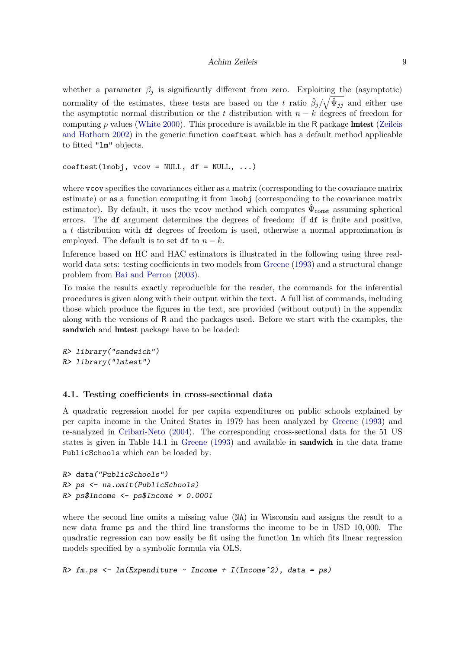#### Achim Zeileis 9

whether a parameter  $\beta_i$  is significantly different from zero. Exploiting the (asymptotic) normality of the estimates, these tests are based on the *t* ratio  $\hat{\beta}_j/\sqrt{\hat{\Psi}_{jj}}$  and either use the asymptotic normal distribution or the *t* distribution with  $n - k$  degrees of freedom for computing *p* values [\(White](#page-15-10) [2000\)](#page-15-10). This procedure is available in the R package lmtest [\(Zeileis](#page-16-3) [and Hothorn](#page-16-3) [2002\)](#page-16-3) in the generic function coeftest which has a default method applicable to fitted "lm" objects.

```
coeffest(lmobj, vcov = NULL, df = NULL, ...)
```
where vcov specifies the covariances either as a matrix (corresponding to the covariance matrix estimate) or as a function computing it from lmobj (corresponding to the covariance matrix estimator). By default, it uses the vcov method which computes  $\hat{\Psi}_{\text{const}}$  assuming spherical errors. The df argument determines the degrees of freedom: if df is finite and positive, a *t* distribution with df degrees of freedom is used, otherwise a normal approximation is employed. The default is to set df to  $n - k$ .

Inference based on HC and HAC estimators is illustrated in the following using three realworld data sets: testing coefficients in two models from [Greene](#page-15-9) [\(1993\)](#page-15-9) and a structural change problem from [Bai and Perron](#page-15-14) [\(2003\)](#page-15-14).

To make the results exactly reproducible for the reader, the commands for the inferential procedures is given along with their output within the text. A full list of commands, including those which produce the figures in the text, are provided (without output) in the appendix along with the versions of R and the packages used. Before we start with the examples, the sandwich and lmtest package have to be loaded:

```
R> library("sandwich")
R> library("lmtest")
```
### **4.1. Testing coefficients in cross-sectional data**

A quadratic regression model for per capita expenditures on public schools explained by per capita income in the United States in 1979 has been analyzed by [Greene](#page-15-9) [\(1993\)](#page-15-9) and re-analyzed in [Cribari-Neto](#page-15-12) [\(2004\)](#page-15-12). The corresponding cross-sectional data for the 51 US states is given in Table 14.1 in [Greene](#page-15-9) [\(1993\)](#page-15-9) and available in sandwich in the data frame PublicSchools which can be loaded by:

```
R> data("PublicSchools")
R> ps <- na.omit(PublicSchools)
R> ps$Income <- ps$Income * 0.0001
```
where the second line omits a missing value (NA) in Wisconsin and assigns the result to a new data frame ps and the third line transforms the income to be in USD 10*,* 000. The quadratic regression can now easily be fit using the function lm which fits linear regression models specified by a symbolic formula via OLS.

 $R$ > fm.ps <- lm(Expenditure ~ Income + I(Income^2), data = ps)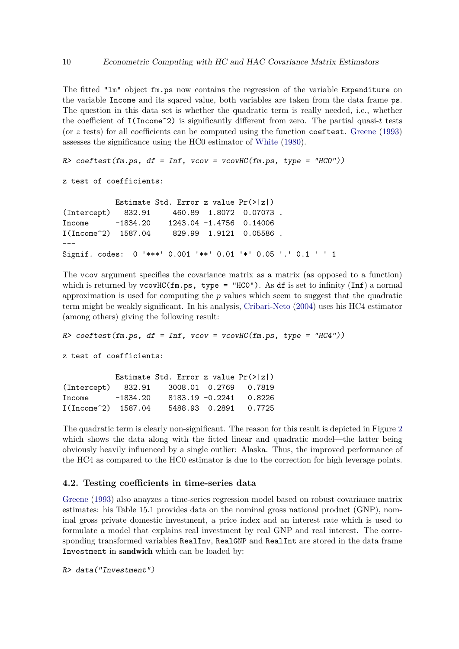The fitted "lm" object fm.ps now contains the regression of the variable Expenditure on the variable Income and its sqared value, both variables are taken from the data frame ps. The question in this data set is whether the quadratic term is really needed, i.e., whether the coefficient of  $I(Income^2)$  is significantly different from zero. The partial quasi-*t* tests (or  $z$  tests) for all coefficients can be computed using the function coeffest. [Greene](#page-15-9) [\(1993\)](#page-15-9) assesses the significance using the HC0 estimator of [White](#page-15-0) [\(1980\)](#page-15-0).

```
R> coeftest(fm.ps, df = Inf, vcov = vcovHC(fm.ps, type = "HCO"))
```
z test of coefficients:

Estimate Std. Error z value Pr(>|z|) (Intercept) 832.91 460.89 1.8072 0.07073 . Income -1834.20 1243.04 -1.4756 0.14006 I(Income^2) 1587.04 829.99 1.9121 0.05586 . --- Signif. codes: 0 '\*\*\*' 0.001 '\*\*' 0.01 '\*' 0.05 '.' 0.1 ' ' 1

The vcov argument specifies the covariance matrix as a matrix (as opposed to a function) which is returned by vcovHC(fm.ps, type = "HCO"). As df is set to infinity (Inf) a normal approximation is used for computing the *p* values which seem to suggest that the quadratic term might be weakly significant. In his analysis, [Cribari-Neto](#page-15-12) [\(2004\)](#page-15-12) uses his HC4 estimator (among others) giving the following result:

 $R$ > coeftest(fm.ps, df = Inf, vcov = vcovHC(fm.ps, type = "HC4"))

z test of coefficients:

Estimate Std. Error z value Pr(>|z|) (Intercept) 832.91 3008.01 0.2769 0.7819 Income -1834.20 8183.19 -0.2241 0.8226 I(Income^2) 1587.04 5488.93 0.2891 0.7725

The quadratic term is clearly non-significant. The reason for this result is depicted in Figure [2](#page-10-0) which shows the data along with the fitted linear and quadratic model—the latter being obviously heavily influenced by a single outlier: Alaska. Thus, the improved performance of the HC4 as compared to the HC0 estimator is due to the correction for high leverage points.

#### **4.2. Testing coefficients in time-series data**

[Greene](#page-15-9) [\(1993\)](#page-15-9) also anayzes a time-series regression model based on robust covariance matrix estimates: his Table 15.1 provides data on the nominal gross national product (GNP), nominal gross private domestic investment, a price index and an interest rate which is used to formulate a model that explains real investment by real GNP and real interest. The corresponding transformed variables RealInv, RealGNP and RealInt are stored in the data frame Investment in sandwich which can be loaded by:

R> data("Investment")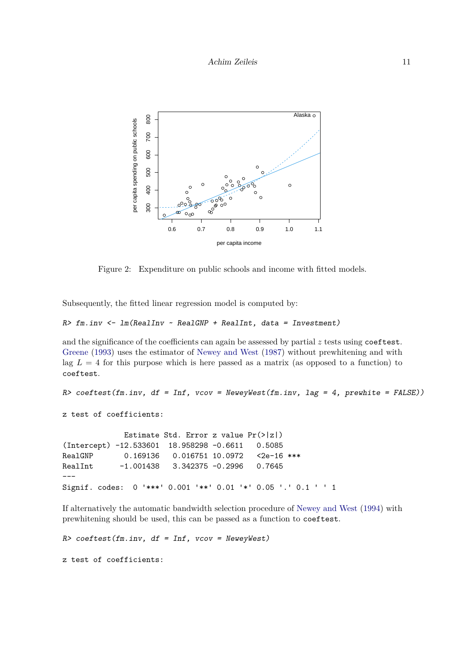

<span id="page-10-0"></span>Figure 2: Expenditure on public schools and income with fitted models.

Subsequently, the fitted linear regression model is computed by:

```
R> fm.inv <- lm(ReallInv ~ RealGNP ~ + RealInt, data = Investment)
```
and the significance of the coefficients can again be assessed by partial *z* tests using coeftest. [Greene](#page-15-9) [\(1993\)](#page-15-9) uses the estimator of [Newey and West](#page-15-2) [\(1987\)](#page-15-2) without prewhitening and with lag  $L = 4$  for this purpose which is here passed as a matrix (as opposed to a function) to coeftest.

```
R> coeftest(fm.inv, df = Inf, vcov = NeweyWest(fm.inv, lag = 4, prewhite = FALSE))
z test of coefficients:
             Estimate Std. Error z value Pr(>|z|)
(Intercept) -12.533601 18.958298 -0.6611 0.5085
RealGNP   0.169136  0.016751  10.0972  <2e-16 ***
RealInt -1.001438 3.342375 -0.2996 0.7645
---
Signif. codes: 0 '***' 0.001 '**' 0.01 '*' 0.05 '.' 0.1 ' ' 1
```
If alternatively the automatic bandwidth selection procedure of [Newey and West](#page-15-3) [\(1994\)](#page-15-3) with prewhitening should be used, this can be passed as a function to coeftest.

```
R> coeftest(fm.inv, df = Inf, vcov = NeweyWest)
```
z test of coefficients: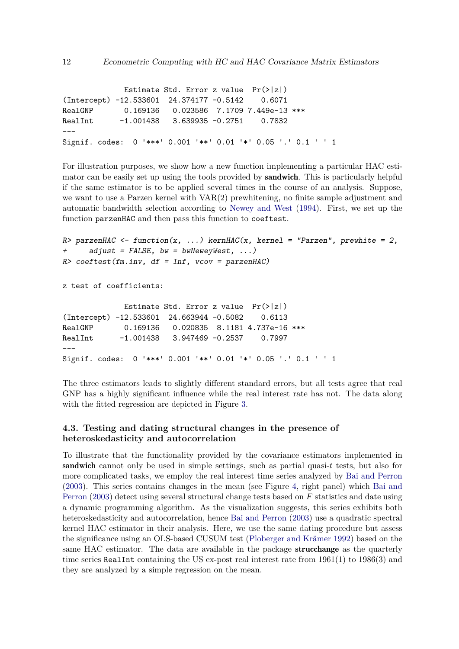Estimate Std. Error z value Pr(>|z|) (Intercept) -12.533601 24.374177 -0.5142 0.6071 RealGNP 0.169136 0.023586 7.1709 7.449e-13 \*\*\* RealInt -1.001438 3.639935 -0.2751 0.7832  $---$ Signif. codes: 0 '\*\*\*' 0.001 '\*\*' 0.01 '\*' 0.05 '.' 0.1 ' ' 1

For illustration purposes, we show how a new function implementing a particular HAC estimator can be easily set up using the tools provided by **sandwich**. This is particularly helpful if the same estimator is to be applied several times in the course of an analysis. Suppose, we want to use a Parzen kernel with VAR(2) prewhitening, no finite sample adjustment and automatic bandwidth selection according to [Newey and West](#page-15-3) [\(1994\)](#page-15-3). First, we set up the function parzenHAC and then pass this function to coeftest.

```
R> parzenHAC <- function(x, ...) kernHAC(x, kernel = "Parzen", prewhite = 2,
+ adjust = FALSE, bw = bwNeweyWest, ...)
R> coeftest(fm.inv, df = Inf, vcov = parzenHAC)
z test of coefficients:
             Estimate Std. Error z value Pr(>|z|)(Intercept) -12.533601 24.663944 -0.5082 0.6113
RealGNP 0.169136 0.020835 8.1181 4.737e-16 ***
RealInt -1.001438 3.947469 -0.2537 0.7997
---
Signif. codes: 0 '***' 0.001 '**' 0.01 '*' 0.05 '.' 0.1 ' ' 1
```
The three estimators leads to slightly different standard errors, but all tests agree that real GNP has a highly significant influence while the real interest rate has not. The data along with the fitted regression are depicted in Figure [3.](#page-12-0)

### **4.3. Testing and dating structural changes in the presence of heteroskedasticity and autocorrelation**

To illustrate that the functionality provided by the covariance estimators implemented in sandwich cannot only be used in simple settings, such as partial quasi-*t* tests, but also for more complicated tasks, we employ the real interest time series analyzed by [Bai and Perron](#page-15-14) [\(2003\)](#page-15-14). This series contains changes in the mean (see Figure [4,](#page-14-2) right panel) which [Bai and](#page-15-14) [Perron](#page-15-14) [\(2003\)](#page-15-14) detect using several structural change tests based on *F* statistics and date using a dynamic programming algorithm. As the visualization suggests, this series exhibits both heteroskedasticity and autocorrelation, hence [Bai and Perron](#page-15-14) [\(2003\)](#page-15-14) use a quadratic spectral kernel HAC estimator in their analysis. Here, we use the same dating procedure but assess the significance using an OLS-based CUSUM test [\(Ploberger and Krämer](#page-15-15) [1992\)](#page-15-15) based on the same HAC estimator. The data are available in the package strucchange as the quarterly time series RealInt containing the US ex-post real interest rate from 1961(1) to 1986(3) and they are analyzed by a simple regression on the mean.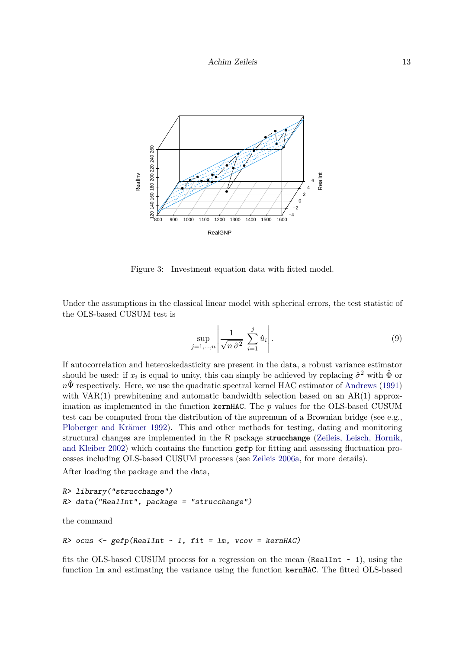

<span id="page-12-0"></span>Figure 3: Investment equation data with fitted model.

Under the assumptions in the classical linear model with spherical errors, the test statistic of the OLS-based CUSUM test is

$$
\sup_{j=1,\dots,n} \left| \frac{1}{\sqrt{n \hat{\sigma}^2}} \sum_{i=1}^j \hat{u}_i \right|.
$$
\n(9)

If autocorrelation and heteroskedasticity are present in the data, a robust variance estimator should be used: if  $x_i$  is equal to unity, this can simply be achieved by replacing  $\hat{\sigma}^2$  with  $\hat{\Phi}$  or  $n\hat{\Psi}$  respectively. Here, we use the quadratic spectral kernel HAC estimator of [Andrews](#page-14-0) [\(1991\)](#page-14-0) with VAR $(1)$  prewhitening and automatic bandwidth selection based on an AR $(1)$  approximation as implemented in the function kernHAC. The *p* values for the OLS-based CUSUM test can be computed from the distribution of the supremum of a Brownian bridge (see e.g., [Ploberger and Krämer](#page-15-15) [1992\)](#page-15-15). This and other methods for testing, dating and monitoring structural changes are implemented in the R package strucchange [\(Zeileis, Leisch, Hornik,](#page-16-4) [and Kleiber](#page-16-4) [2002\)](#page-16-4) which contains the function gefp for fitting and assessing fluctuation processes including OLS-based CUSUM processes (see [Zeileis](#page-16-5) [2006a,](#page-16-5) for more details).

After loading the package and the data,

```
R> library("strucchange")
R> data("RealInt", package = "strucchange")
```
the command

```
R ocus \leftarrow gefp(RealInt \sim 1, fit = lm, vcov = kernHAC)
```
fits the OLS-based CUSUM process for a regression on the mean (RealInt  $\sim$  1), using the function lm and estimating the variance using the function kernHAC. The fitted OLS-based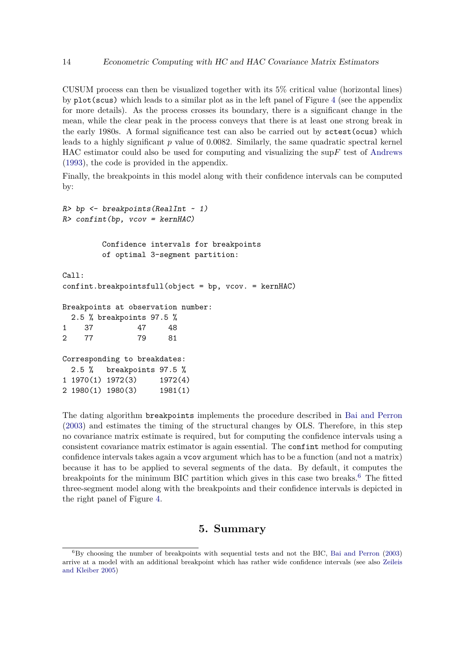CUSUM process can then be visualized together with its 5% critical value (horizontal lines) by plot(scus) which leads to a similar plot as in the left panel of Figure [4](#page-14-2) (see the appendix for more details). As the process crosses its boundary, there is a significant change in the mean, while the clear peak in the process conveys that there is at least one strong break in the early 1980s. A formal significance test can also be carried out by sctest(ocus) which leads to a highly significant *p* value of 0.0082. Similarly, the same quadratic spectral kernel HAC estimator could also be used for computing and visualizing the sup*F* test of [Andrews](#page-14-3) [\(1993\)](#page-14-3), the code is provided in the appendix.

Finally, the breakpoints in this model along with their confidence intervals can be computed by:

```
R> bp \leftarrow breakpoints(RealInt ~ 1)
R> confint(bp, vcov = kernHAC)
        Confidence intervals for breakpoints
        of optimal 3-segment partition:
Ca11:confint.breakpointsfull(object = bp, vcov. = kernHAC)Breakpoints at observation number:
  2.5 % breakpoints 97.5 %
1 37 47 48
2 77 79 81
Corresponding to breakdates:
 2.5 % breakpoints 97.5 %
1 1970(1) 1972(3) 1972(4)
2 1980(1) 1980(3) 1981(1)
```
The dating algorithm breakpoints implements the procedure described in [Bai and Perron](#page-15-14) [\(2003\)](#page-15-14) and estimates the timing of the structural changes by OLS. Therefore, in this step no covariance matrix estimate is required, but for computing the confidence intervals using a consistent covariance matrix estimator is again essential. The confint method for computing confidence intervals takes again a vcov argument which has to be a function (and not a matrix) because it has to be applied to several segments of the data. By default, it computes the breakpoints for the minimum BIC partition which gives in this case two breaks.<sup>[6](#page-13-1)</sup> The fitted three-segment model along with the breakpoints and their confidence intervals is depicted in the right panel of Figure [4.](#page-14-2)

# **5. Summary**

<span id="page-13-1"></span><span id="page-13-0"></span> ${}^{6}$ By choosing the number of breakpoints with sequential tests and not the BIC, [Bai and Perron](#page-15-14) [\(2003\)](#page-15-14) arrive at a model with an additional breakpoint which has rather wide confidence intervals (see also [Zeileis](#page-16-6) [and Kleiber](#page-16-6) [2005\)](#page-16-6)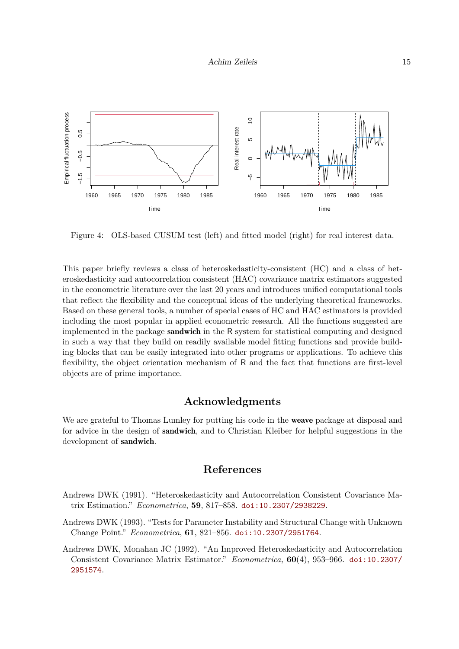

<span id="page-14-2"></span>Figure 4: OLS-based CUSUM test (left) and fitted model (right) for real interest data.

This paper briefly reviews a class of heteroskedasticity-consistent (HC) and a class of heteroskedasticity and autocorrelation consistent (HAC) covariance matrix estimators suggested in the econometric literature over the last 20 years and introduces unified computational tools that reflect the flexibility and the conceptual ideas of the underlying theoretical frameworks. Based on these general tools, a number of special cases of HC and HAC estimators is provided including the most popular in applied econometric research. All the functions suggested are implemented in the package sandwich in the R system for statistical computing and designed in such a way that they build on readily available model fitting functions and provide building blocks that can be easily integrated into other programs or applications. To achieve this flexibility, the object orientation mechanism of R and the fact that functions are first-level objects are of prime importance.

# **Acknowledgments**

We are grateful to Thomas Lumley for putting his code in the weave package at disposal and for advice in the design of **sandwich**, and to Christian Kleiber for helpful suggestions in the development of sandwich.

# **References**

- <span id="page-14-0"></span>Andrews DWK (1991). "Heteroskedasticity and Autocorrelation Consistent Covariance Matrix Estimation." *Econometrica*, **59**, 817–858. [doi:10.2307/2938229](https://doi.org/10.2307/2938229).
- <span id="page-14-3"></span>Andrews DWK (1993). "Tests for Parameter Instability and Structural Change with Unknown Change Point." *Econometrica*, **61**, 821–856. [doi:10.2307/2951764](https://doi.org/10.2307/2951764).
- <span id="page-14-1"></span>Andrews DWK, Monahan JC (1992). "An Improved Heteroskedasticity and Autocorrelation Consistent Covariance Matrix Estimator." *Econometrica*, **60**(4), 953–966. [doi:10.2307/](https://doi.org/10.2307/2951574) [2951574](https://doi.org/10.2307/2951574).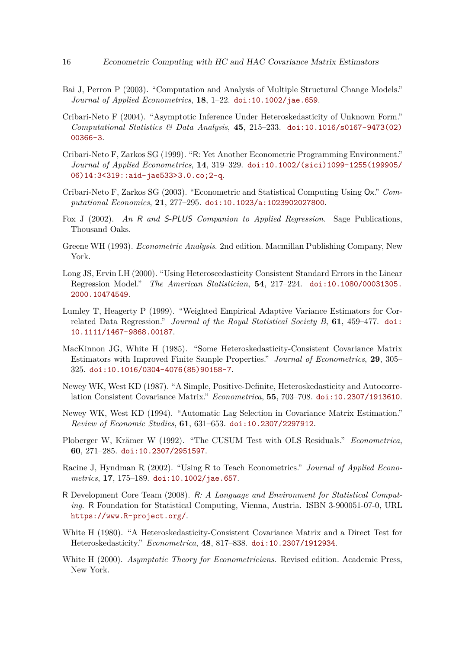- <span id="page-15-14"></span>Bai J, Perron P (2003). "Computation and Analysis of Multiple Structural Change Models." *Journal of Applied Econometrics*, **18**, 1–22. [doi:10.1002/jae.659](https://doi.org/10.1002/jae.659).
- <span id="page-15-12"></span>Cribari-Neto F (2004). "Asymptotic Inference Under Heteroskedasticity of Unknown Form." *Computational Statistics & Data Analysis*, **45**, 215–233. [doi:10.1016/s0167-9473\(02\)](https://doi.org/10.1016/s0167-9473(02)00366-3) [00366-3](https://doi.org/10.1016/s0167-9473(02)00366-3).
- <span id="page-15-6"></span>Cribari-Neto F, Zarkos SG (1999). "R: Yet Another Econometric Programming Environment." *Journal of Applied Econometrics*, **14**, 319–329. [doi:10.1002/\(sici\)1099-1255\(199905/](https://doi.org/10.1002/(sici)1099-1255(199905/06)14:3<319::aid-jae533>3.0.co;2-q) [06\)14:3<319::aid-jae533>3.0.co;2-q](https://doi.org/10.1002/(sici)1099-1255(199905/06)14:3<319::aid-jae533>3.0.co;2-q).
- <span id="page-15-4"></span>Cribari-Neto F, Zarkos SG (2003). "Econometric and Statistical Computing Using Ox." *Computational Economics*, **21**, 277–295. [doi:10.1023/a:1023902027800](https://doi.org/10.1023/a:1023902027800).
- <span id="page-15-8"></span>Fox J (2002). *An* R *and* S-PLUS *Companion to Applied Regression*. Sage Publications, Thousand Oaks.
- <span id="page-15-9"></span>Greene WH (1993). *Econometric Analysis*. 2nd edition. Macmillan Publishing Company, New York.
- <span id="page-15-11"></span>Long JS, Ervin LH (2000). "Using Heteroscedasticity Consistent Standard Errors in the Linear Regression Model." *The American Statistician*, **54**, 217–224. [doi:10.1080/00031305.](https://doi.org/10.1080/00031305.2000.10474549) [2000.10474549](https://doi.org/10.1080/00031305.2000.10474549).
- <span id="page-15-13"></span>Lumley T, Heagerty P (1999). "Weighted Empirical Adaptive Variance Estimators for Correlated Data Regression." *Journal of the Royal Statistical Society B*, **61**, 459–477. [doi:](https://doi.org/10.1111/1467-9868.00187) [10.1111/1467-9868.00187](https://doi.org/10.1111/1467-9868.00187).
- <span id="page-15-1"></span>MacKinnon JG, White H (1985). "Some Heteroskedasticity-Consistent Covariance Matrix Estimators with Improved Finite Sample Properties." *Journal of Econometrics*, **29**, 305– 325. [doi:10.1016/0304-4076\(85\)90158-7](https://doi.org/10.1016/0304-4076(85)90158-7).
- <span id="page-15-2"></span>Newey WK, West KD (1987). "A Simple, Positive-Definite, Heteroskedasticity and Autocorrelation Consistent Covariance Matrix." *Econometrica*, **55**, 703–708. [doi:10.2307/1913610](https://doi.org/10.2307/1913610).
- <span id="page-15-3"></span>Newey WK, West KD (1994). "Automatic Lag Selection in Covariance Matrix Estimation." *Review of Economic Studies*, **61**, 631–653. [doi:10.2307/2297912](https://doi.org/10.2307/2297912).
- <span id="page-15-15"></span>Ploberger W, Krämer W (1992). "The CUSUM Test with OLS Residuals." *Econometrica*, **60**, 271–285. [doi:10.2307/2951597](https://doi.org/10.2307/2951597).
- <span id="page-15-7"></span>Racine J, Hyndman R (2002). "Using R to Teach Econometrics." *Journal of Applied Econometrics*, **17**, 175–189. [doi:10.1002/jae.657](https://doi.org/10.1002/jae.657).
- <span id="page-15-5"></span>R Development Core Team (2008). R*: A Language and Environment for Statistical Computing*. R Foundation for Statistical Computing, Vienna, Austria. ISBN 3-900051-07-0, URL <https://www.R-project.org/>.
- <span id="page-15-0"></span>White H (1980). "A Heteroskedasticity-Consistent Covariance Matrix and a Direct Test for Heteroskedasticity." *Econometrica*, **48**, 817–838. [doi:10.2307/1912934](https://doi.org/10.2307/1912934).
- <span id="page-15-10"></span>White H (2000). *Asymptotic Theory for Econometricians*. Revised edition. Academic Press, New York.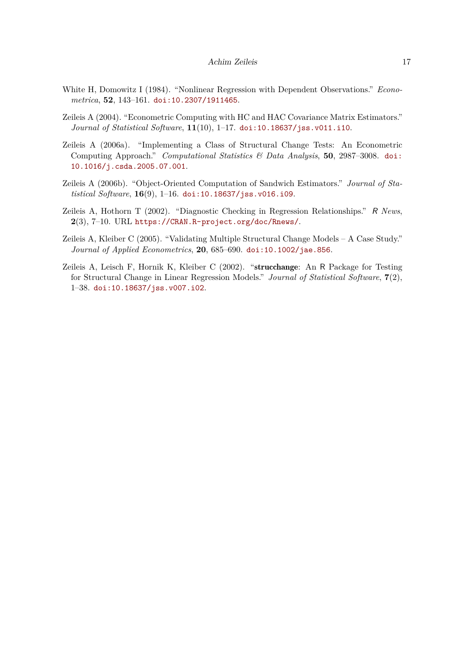- <span id="page-16-2"></span>White H, Domowitz I (1984). "Nonlinear Regression with Dependent Observations." *Econometrica*, **52**, 143–161. [doi:10.2307/1911465](https://doi.org/10.2307/1911465).
- <span id="page-16-0"></span>Zeileis A (2004). "Econometric Computing with HC and HAC Covariance Matrix Estimators." *Journal of Statistical Software*, **11**(10), 1–17. [doi:10.18637/jss.v011.i10](https://doi.org/10.18637/jss.v011.i10).
- <span id="page-16-5"></span>Zeileis A (2006a). "Implementing a Class of Structural Change Tests: An Econometric Computing Approach." *Computational Statistics & Data Analysis*, **50**, 2987–3008. [doi:](https://doi.org/10.1016/j.csda.2005.07.001) [10.1016/j.csda.2005.07.001](https://doi.org/10.1016/j.csda.2005.07.001).
- <span id="page-16-1"></span>Zeileis A (2006b). "Object-Oriented Computation of Sandwich Estimators." *Journal of Statistical Software*, **16**(9), 1–16. [doi:10.18637/jss.v016.i09](https://doi.org/10.18637/jss.v016.i09).
- <span id="page-16-3"></span>Zeileis A, Hothorn T (2002). "Diagnostic Checking in Regression Relationships." R *News*, **2**(3), 7–10. URL <https://CRAN.R-project.org/doc/Rnews/>.
- <span id="page-16-6"></span>Zeileis A, Kleiber C (2005). "Validating Multiple Structural Change Models – A Case Study." *Journal of Applied Econometrics*, **20**, 685–690. [doi:10.1002/jae.856](https://doi.org/10.1002/jae.856).
- <span id="page-16-4"></span>Zeileis A, Leisch F, Hornik K, Kleiber C (2002). "strucchange: An R Package for Testing for Structural Change in Linear Regression Models." *Journal of Statistical Software*, **7**(2), 1–38. [doi:10.18637/jss.v007.i02](https://doi.org/10.18637/jss.v007.i02).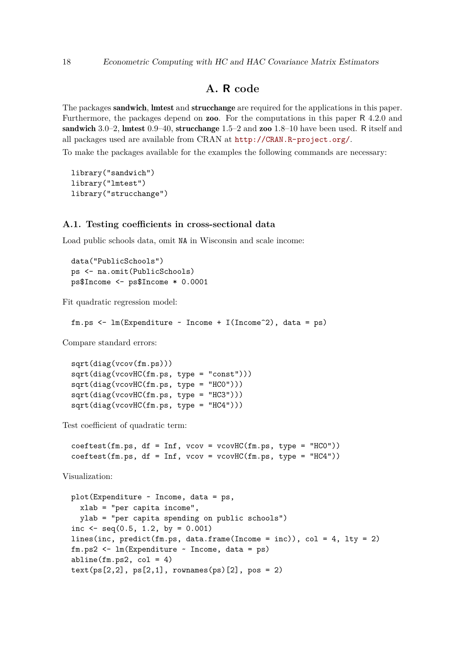# **A. R code**

The packages sandwich, lmtest and strucchange are required for the applications in this paper. Furthermore, the packages depend on **zoo**. For the computations in this paper R 4.2.0 and sandwich 3.0–2, lmtest 0.9–40, strucchange 1.5–2 and zoo 1.8–10 have been used. R itself and all packages used are available from CRAN at <http://CRAN.R-project.org/>.

To make the packages available for the examples the following commands are necessary:

```
library("sandwich")
library("lmtest")
library("strucchange")
```
#### **A.1. Testing coefficients in cross-sectional data**

Load public schools data, omit NA in Wisconsin and scale income:

```
data("PublicSchools")
ps <- na.omit(PublicSchools)
ps$Income <- ps$Income * 0.0001
```
Fit quadratic regression model:

```
fm.ps \leftarrow lm(Expenditure \sim Income + I(Income^2), data = ps)
```
Compare standard errors:

```
sqrt(diag(vcov(fm.ps)))
sqrt(\text{diag}(v\text{covHC}(fm,ps, type = "const"))sqrt(\text{diag}(v\text{covHC}(fm.p s, tvpe = "HCO"))sqrt(diag(vcovHC(fm.ps, type = "HC3")))
sqrt(diag(vcovHC(fm.ps, type = "HC4")))
```
Test coefficient of quadratic term:

```
coeftest(fm-ps, df = Inf, vcov = vcovHC(fm-ps, type = "HCO"))coeftest(fm.ps, df = Inf, vcov = vcovHC(fm.ps, type = "HC4"))
```
Visualization:

```
plot(Expenditure ~ Income, data = ps,
 xlab = "per capita income",
 ylab = "per capita spending on public schools")
inc \leq seq(0.5, 1.2, by = 0.001)
lines(inc, predict(fm.ps, data.frame(Income = inc)), col = 4, lty = 2)
fm.ps2 <- lm(Expenditure ~ Income, data = ps)
abline(fm.ps2, col = 4)text(ps[2,2], ps[2,1], rownames(ps)[2], pos = 2)
```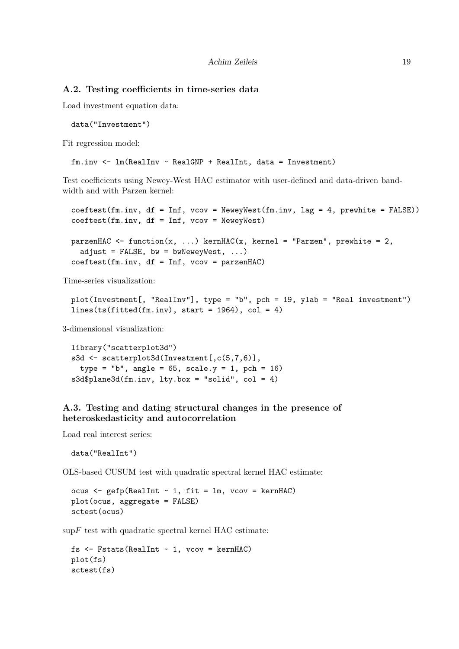### **A.2. Testing coefficients in time-series data**

Load investment equation data:

data("Investment")

Fit regression model:

fm.inv <- lm(RealInv ~ RealGNP + RealInt, data = Investment)

Test coefficients using Newey-West HAC estimator with user-defined and data-driven bandwidth and with Parzen kernel:

 $coeffest(fm.inv, df = Inf, vcov = NeweyWest(fm.inv, lag = 4, prevhite = FALSE))$ coeftest(fm.inv, df = Inf, vcov = NeweyWest)

```
parzenHAC <- function(x, ...) kernHAC(x, kernel = "Parzen", prewhite = 2,
  adjust = FALSE, bw = bwNeweyWest, \ldots)
coeftest(fm.inv, df = Inf, vcov = parzenHAC)
```
Time-series visualization:

```
plot(Investment[, "RealInv"], type = "b", pch = 19, ylab = "Real investment")
lines(ts(fitted(fm.inv), start = 1964), col = 4)
```
3-dimensional visualization:

```
library("scatterplot3d")
s3d <- scatterplot3d(Investment[,c(5,7,6)],
 type = "b", angle = 65, scale.y = 1, pch = 16)
s3d$plane3d(fm.inv, lty.box = "solid", col = 4)
```
## **A.3. Testing and dating structural changes in the presence of heteroskedasticity and autocorrelation**

Load real interest series:

data("RealInt")

OLS-based CUSUM test with quadratic spectral kernel HAC estimate:

ocus <- gefp(RealInt ~ 1, fit = lm, vcov = kernHAC) plot(ocus, aggregate = FALSE) sctest(ocus)

 $\sup F$  test with quadratic spectral kernel HAC estimate:

```
fs \leq Fstats(RealInt \sim 1, vcov = kernHAC)
plot(fs)
sctest(fs)
```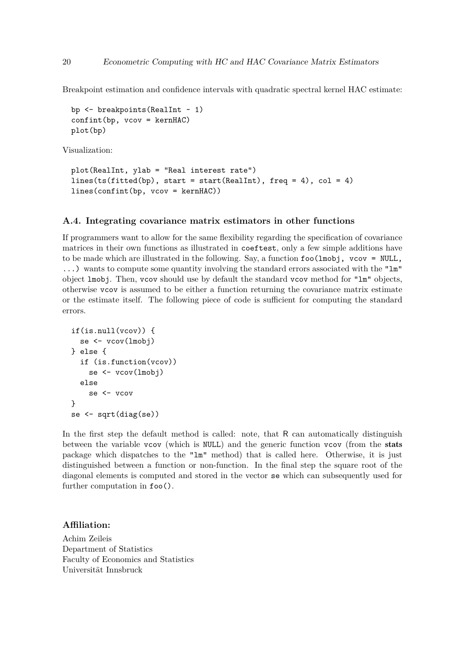Breakpoint estimation and confidence intervals with quadratic spectral kernel HAC estimate:

```
bp <- breakpoints(RealInt ~ 1)
confint(bp, vcov = kernHAC)plot(bp)
```
Visualization:

```
plot(RealInt, ylab = "Real interest rate")
lines(ts(fitted(bp)), start = start(RealInt), freq = 4), col = 4)
lines(confint(bp, vcov = kernHAC))
```
#### **A.4. Integrating covariance matrix estimators in other functions**

If programmers want to allow for the same flexibility regarding the specification of covariance matrices in their own functions as illustrated in coeftest, only a few simple additions have to be made which are illustrated in the following. Say, a function  $foo(lmobj, vcov = NULL,$ ...) wants to compute some quantity involving the standard errors associated with the "lm" object lmobj. Then, vcov should use by default the standard vcov method for "lm" objects, otherwise vcov is assumed to be either a function returning the covariance matrix estimate or the estimate itself. The following piece of code is sufficient for computing the standard errors.

```
if(is.null(vcov)) {
  se <- vcov(lmobj)
} else {
  if (is.function(vcov))
    se <- vcov(lmobj)
  else
    se <- vcov
}
se <- sqrt(diag(se))
```
In the first step the default method is called: note, that R can automatically distinguish between the variable vcov (which is NULL) and the generic function vcov (from the stats package which dispatches to the "lm" method) that is called here. Otherwise, it is just distinguished between a function or non-function. In the final step the square root of the diagonal elements is computed and stored in the vector se which can subsequently used for further computation in foo().

## **Affiliation:**

Achim Zeileis Department of Statistics Faculty of Economics and Statistics Universität Innsbruck